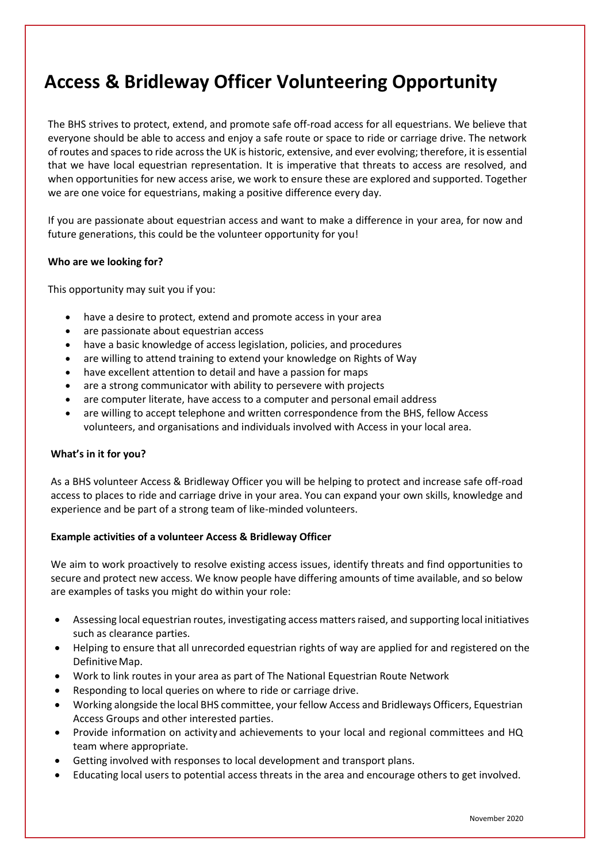# **Access & Bridleway Officer Volunteering Opportunity**

The BHS strives to protect, extend, and promote safe off-road access for all equestrians. We believe that everyone should be able to access and enjoy a safe route or space to ride or carriage drive. The network of routes and spaces to ride across the UK is historic, extensive, and ever evolving; therefore, it is essential that we have local equestrian representation. It is imperative that threats to access are resolved, and when opportunities for new access arise, we work to ensure these are explored and supported. Together we are one voice for equestrians, making a positive difference every day.

If you are passionate about equestrian access and want to make a difference in your area, for now and future generations, this could be the volunteer opportunity for you!

## **Who are we looking for?**

This opportunity may suit you if you:

- have a desire to protect, extend and promote access in your area
- are passionate about equestrian access
- have a basic knowledge of access legislation, policies, and procedures
- are willing to attend training to extend your knowledge on Rights of Way
- have excellent attention to detail and have a passion for maps
- are a strong communicator with ability to persevere with projects
- are computer literate, have access to a computer and personal email address
- are willing to accept telephone and written correspondence from the BHS, fellow Access volunteers, and organisations and individuals involved with Access in your local area.

## **What's in it for you?**

As a BHS volunteer Access & Bridleway Officer you will be helping to protect and increase safe off-road access to places to ride and carriage drive in your area. You can expand your own skills, knowledge and experience and be part of a strong team of like-minded volunteers.

## **Example activities of a volunteer Access & Bridleway Officer**

We aim to work proactively to resolve existing access issues, identify threats and find opportunities to secure and protect new access. We know people have differing amounts of time available, and so below are examples of tasks you might do within your role:

- Assessing local equestrian routes, investigating access matters raised, and supporting local initiatives such as clearance parties.
- Helping to ensure that all unrecorded equestrian rights of way are applied for and registered on the Definitive Map.
- Work to link routes in your area as part of The National Equestrian Route Network
- Responding to local queries on where to ride or carriage drive.
- Working alongside the local BHS committee, your fellow Access and Bridleways Officers, Equestrian Access Groups and other interested parties.
- Provide information on activity and achievements to your local and regional committees and HQ team where appropriate.
- Getting involved with responses to local development and transport plans.
- Educating local users to potential access threats in the area and encourage others to get involved.